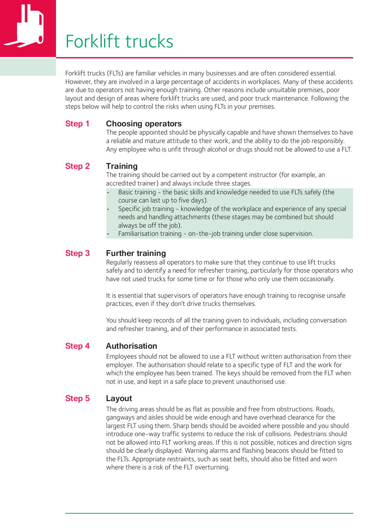# Forklift trucks

Forklift trucks (FLTs) are familiar vehicles in many businesses and are often considered essential. However, they are involved in a large percentage of accidents in workplaces. Many of these accidents are due to operators not having enough training. Other reasons include unsuitable premises, poor layout and design of areas where forklift trucks are used, and poor truck maintenance. Following the steps below will help to control the risks when using FLTs in your premises.

#### **Step 1 Choosing operators**

The people appointed should be physically capable and have shown themselves to have a reliable and mature attitude to their work, and the ability to do the job responsibly. Any employee who is unfit through alcohol or drugs should not be allowed to use a FLT.

#### **Step 2 Training**

The training should be carried out by a competent instructor (for example, an accredited trainer) and always include three stages.

- Basic training the basic skills and knowledge needed to use FLTs safely (the • course can last up to five days).
- Specific job training knowledge of the workplace and experience of any special • needs and handling attachments (these stages may be combined but should always be off the job).
- Familiarisation training on-the-job training under close supervision.

#### **Step 3 Further training**

Regularly reassess all operators to make sure that they continue to use lift trucks safely and to identify a need for refresher training, particularly for those operators who have not used trucks for some time or for those who only use them occasionally.

It is essential that supervisors of operators have enough training to recognise unsafe practices, even if they don't drive trucks themselves.

You should keep records of all the training given to individuals, including conversation and refresher training, and of their performance in associated tests.

#### **Step 4 Authorisation**

Employees should not be allowed to use a FLT without written authorisation from their employer. The authorisation should relate to a specific type of FLT and the work for which the employee has been trained. The keys should be removed from the FLT when not in use, and kept in a safe place to prevent unauthorised use.

#### **Step 5 Layout**

The driving areas should be as flat as possible and free from obstructions. Roads, gangways and aisles should be wide enough and have overhead clearance for the largest FLT using them. Sharp bends should be avoided where possible and you should introduce one-way traffic systems to reduce the risk of collisions. Pedestrians should not be allowed into FLT working areas. If this is not possible, notices and direction signs should be clearly displayed. Warning alarms and flashing beacons should be fitted to the FLTs. Appropriate restraints, such as seat belts, should also be fitted and worn where there is a risk of the FLT overturning.